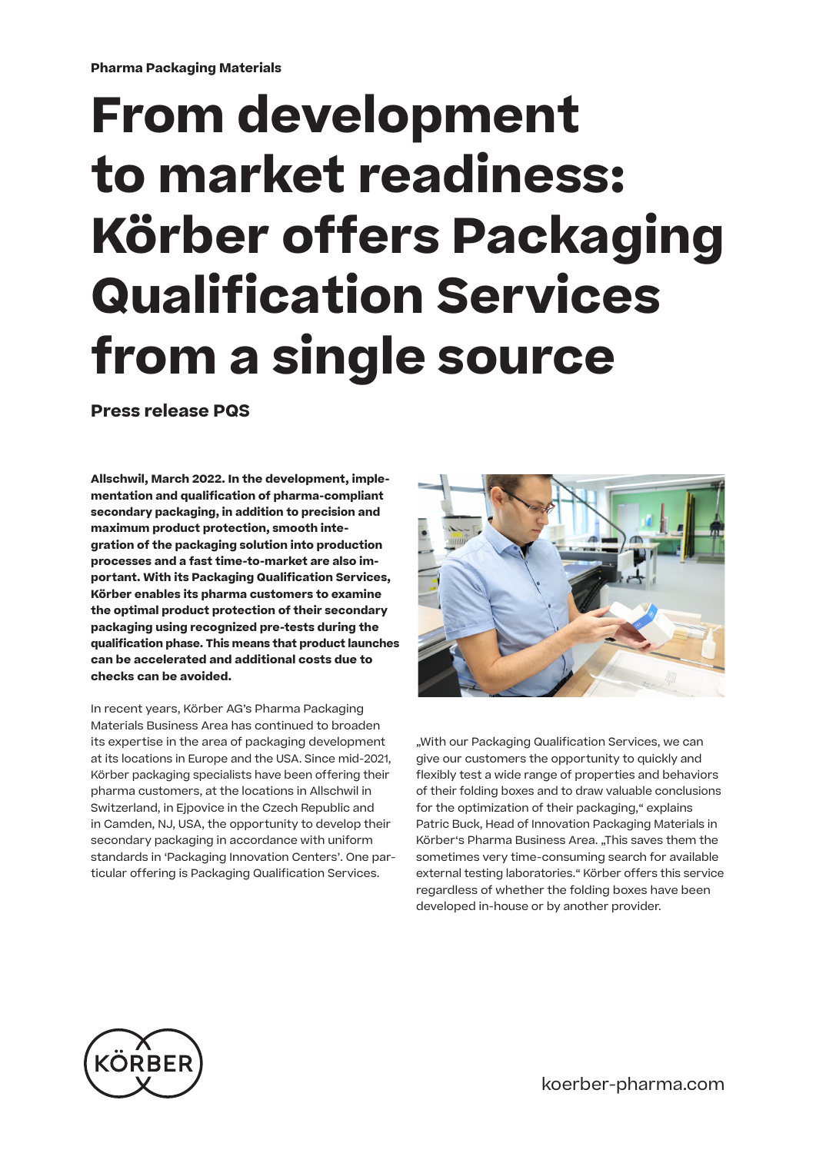## **From development to market readiness: Körber offers Packaging Qualification Services from a single source**

**Press release PQS**

**Allschwil, March 2022. In the development, implementation and qualification of pharma-compliant secondary packaging, in addition to precision and maximum product protection, smooth integration of the packaging solution into production processes and a fast time-to-market are also important. With its Packaging Qualification Services, Körber enables its pharma customers to examine the optimal product protection of their secondary packaging using recognized pre-tests during the qualification phase. This means that product launches can be accelerated and additional costs due to checks can be avoided.**

In recent years, Körber AG's Pharma Packaging Materials Business Area has continued to broaden its expertise in the area of packaging development at its locations in Europe and the USA. Since mid-2021, Körber packaging specialists have been offering their pharma customers, at the locations in Allschwil in Switzerland, in Ejpovice in the Czech Republic and in Camden, NJ, USA, the opportunity to develop their secondary packaging in accordance with uniform standards in 'Packaging Innovation Centers'. One particular offering is Packaging Qualification Services.



"With our Packaging Qualification Services, we can give our customers the opportunity to quickly and flexibly test a wide range of properties and behaviors of their folding boxes and to draw valuable conclusions for the optimization of their packaging," explains Patric Buck, Head of Innovation Packaging Materials in Körber's Pharma Business Area. "This saves them the sometimes very time-consuming search for available external testing laboratories." Körber offers this service regardless of whether the folding boxes have been developed in-house or by another provider.



koerber-pharma.com